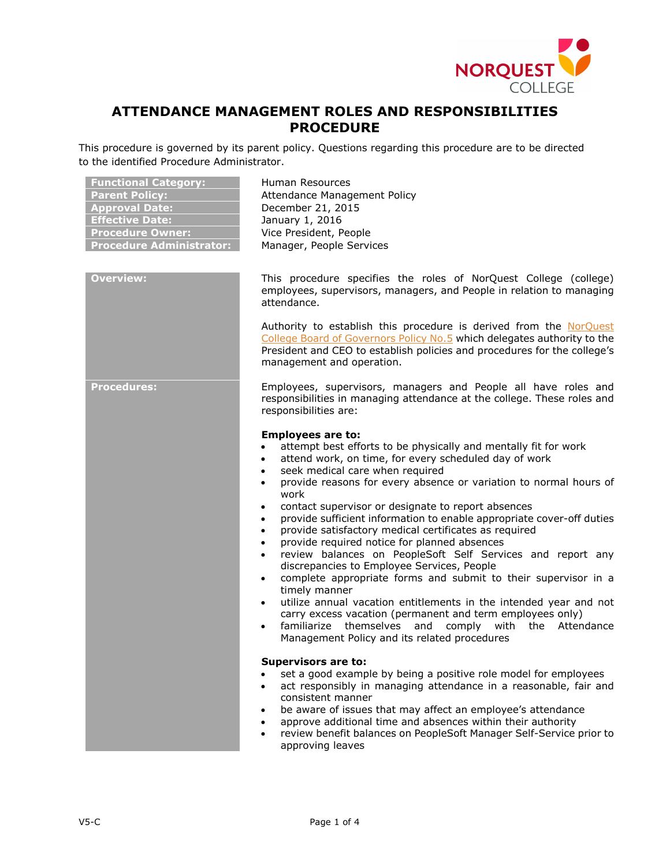

# **ATTENDANCE MANAGEMENT ROLES AND RESPONSIBILITIES PROCEDURE**

This procedure is governed by its parent policy. Questions regarding this procedure are to be directed to the identified Procedure Administrator.

| <b>Functional Category:</b><br><b>Parent Policy:</b><br><b>Approval Date:</b><br><b>Effective Date:</b><br><b>Procedure Owner:</b><br><b>Procedure Administrator:</b> | Human Resources<br>Attendance Management Policy<br>December 21, 2015<br>January 1, 2016<br>Vice President, People<br>Manager, People Services                                                                                                                                                                                                                                                                                                                                                                                                                                                                                                                                                                                                                                                                                                                                                                                                                                                                                                                                                                               |
|-----------------------------------------------------------------------------------------------------------------------------------------------------------------------|-----------------------------------------------------------------------------------------------------------------------------------------------------------------------------------------------------------------------------------------------------------------------------------------------------------------------------------------------------------------------------------------------------------------------------------------------------------------------------------------------------------------------------------------------------------------------------------------------------------------------------------------------------------------------------------------------------------------------------------------------------------------------------------------------------------------------------------------------------------------------------------------------------------------------------------------------------------------------------------------------------------------------------------------------------------------------------------------------------------------------------|
| <b>Overview:</b>                                                                                                                                                      | This procedure specifies the roles of NorQuest College (college)<br>employees, supervisors, managers, and People in relation to managing<br>attendance.                                                                                                                                                                                                                                                                                                                                                                                                                                                                                                                                                                                                                                                                                                                                                                                                                                                                                                                                                                     |
|                                                                                                                                                                       | Authority to establish this procedure is derived from the NorQuest<br>College Board of Governors Policy No.5 which delegates authority to the<br>President and CEO to establish policies and procedures for the college's<br>management and operation.                                                                                                                                                                                                                                                                                                                                                                                                                                                                                                                                                                                                                                                                                                                                                                                                                                                                      |
| <b>Procedures:</b>                                                                                                                                                    | Employees, supervisors, managers and People all have roles and<br>responsibilities in managing attendance at the college. These roles and<br>responsibilities are:                                                                                                                                                                                                                                                                                                                                                                                                                                                                                                                                                                                                                                                                                                                                                                                                                                                                                                                                                          |
|                                                                                                                                                                       | <b>Employees are to:</b><br>attempt best efforts to be physically and mentally fit for work<br>$\bullet$<br>attend work, on time, for every scheduled day of work<br>$\bullet$<br>seek medical care when required<br>$\bullet$<br>provide reasons for every absence or variation to normal hours of<br>$\bullet$<br>work<br>contact supervisor or designate to report absences<br>$\bullet$<br>provide sufficient information to enable appropriate cover-off duties<br>$\bullet$<br>provide satisfactory medical certificates as required<br>$\bullet$<br>provide required notice for planned absences<br>$\bullet$<br>review balances on PeopleSoft Self Services and report any<br>$\bullet$<br>discrepancies to Employee Services, People<br>complete appropriate forms and submit to their supervisor in a<br>$\bullet$<br>timely manner<br>utilize annual vacation entitlements in the intended year and not<br>$\bullet$<br>carry excess vacation (permanent and term employees only)<br>themselves and<br>Attendance<br>familiarize<br>comply with the<br>$\bullet$<br>Management Policy and its related procedures |
|                                                                                                                                                                       | <b>Supervisors are to:</b><br>set a good example by being a positive role model for employees<br>act responsibly in managing attendance in a reasonable, fair and<br>$\bullet$<br>consistent manner<br>be aware of issues that may affect an employee's attendance<br>approve additional time and absences within their authority<br>review benefit balances on PeopleSoft Manager Self-Service prior to<br>approving leaves                                                                                                                                                                                                                                                                                                                                                                                                                                                                                                                                                                                                                                                                                                |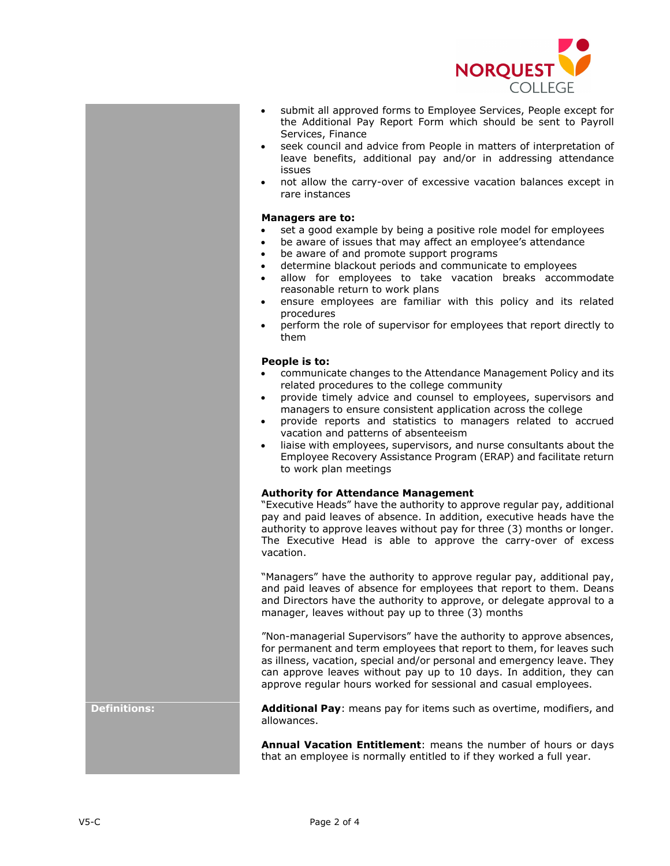

- submit all approved forms to Employee Services, People except for the Additional Pay Report Form which should be sent to Payroll Services, Finance
- seek council and advice from People in matters of interpretation of leave benefits, additional pay and/or in addressing attendance issues
- not allow the carry-over of excessive vacation balances except in rare instances

#### **Managers are to:**

- set a good example by being a positive role model for employees
- be aware of issues that may affect an employee's attendance
- be aware of and promote support programs
- determine blackout periods and communicate to employees
- allow for employees to take vacation breaks accommodate reasonable return to work plans
- ensure employees are familiar with this policy and its related procedures
- perform the role of supervisor for employees that report directly to them

### **People is to:**

- communicate changes to the Attendance Management Policy and its related procedures to the college community
- provide timely advice and counsel to employees, supervisors and managers to ensure consistent application across the college
- provide reports and statistics to managers related to accrued vacation and patterns of absenteeism
- liaise with employees, supervisors, and nurse consultants about the Employee Recovery Assistance Program (ERAP) and facilitate return to work plan meetings

## **Authority for Attendance Management**

"Executive Heads" have the authority to approve regular pay, additional pay and paid leaves of absence. In addition, executive heads have the authority to approve leaves without pay for three (3) months or longer. The Executive Head is able to approve the carry-over of excess vacation.

"Managers" have the authority to approve regular pay, additional pay, and paid leaves of absence for employees that report to them. Deans and Directors have the authority to approve, or delegate approval to a manager, leaves without pay up to three (3) months

"Non-managerial Supervisors" have the authority to approve absences, for permanent and term employees that report to them, for leaves such as illness, vacation, special and/or personal and emergency leave. They can approve leaves without pay up to 10 days. In addition, they can approve regular hours worked for sessional and casual employees.

**Definitions: Additional Pay**: means pay for items such as overtime, modifiers, and allowances.

> **Annual Vacation Entitlement**: means the number of hours or days that an employee is normally entitled to if they worked a full year.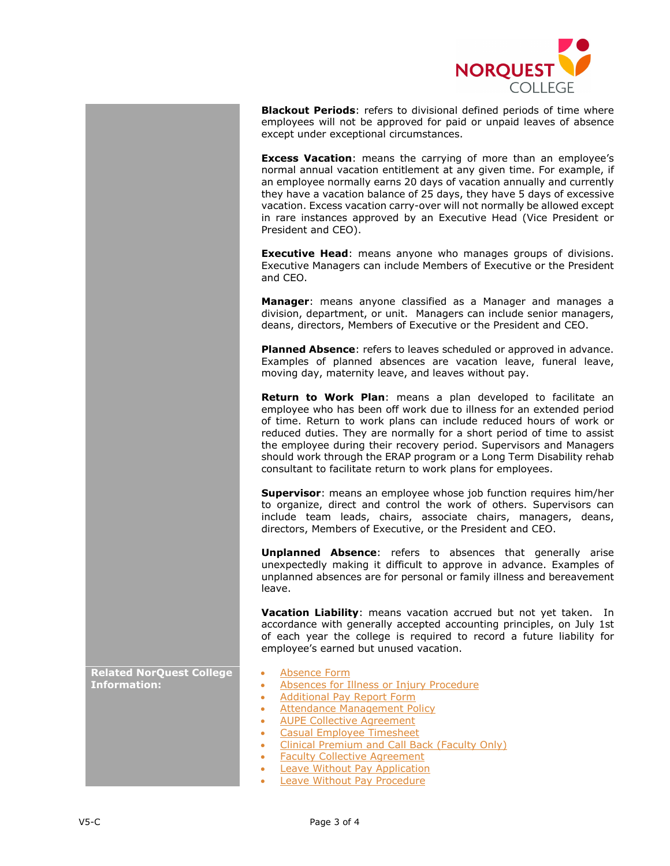

**Blackout Periods**: refers to divisional defined periods of time where employees will not be approved for paid or unpaid leaves of absence except under exceptional circumstances.

**Excess Vacation**: means the carrying of more than an employee's normal annual vacation entitlement at any given time. For example, if an employee normally earns 20 days of vacation annually and currently they have a vacation balance of 25 days, they have 5 days of excessive vacation. Excess vacation carry-over will not normally be allowed except in rare instances approved by an Executive Head (Vice President or President and CEO).

**Executive Head**: means anyone who manages groups of divisions. Executive Managers can include Members of Executive or the President and CEO.

**Manager**: means anyone classified as a Manager and manages a division, department, or unit. Managers can include senior managers, deans, directors, Members of Executive or the President and CEO.

**Planned Absence**: refers to leaves scheduled or approved in advance. Examples of planned absences are vacation leave, funeral leave, moving day, maternity leave, and leaves without pay.

**Return to Work Plan**: means a plan developed to facilitate an employee who has been off work due to illness for an extended period of time. Return to work plans can include reduced hours of work or reduced duties. They are normally for a short period of time to assist the employee during their recovery period. Supervisors and Managers should work through the ERAP program or a Long Term Disability rehab consultant to facilitate return to work plans for employees.

**Supervisor**: means an employee whose job function requires him/her to organize, direct and control the work of others. Supervisors can include team leads, chairs, associate chairs, managers, deans, directors, Members of Executive, or the President and CEO.

**Unplanned Absence**: refers to absences that generally arise unexpectedly making it difficult to approve in advance. Examples of unplanned absences are for personal or family illness and bereavement leave.

**Vacation Liability**: means vacation accrued but not yet taken. In accordance with generally accepted accounting principles, on July 1st of each year the college is required to record a future liability for employee's earned but unused vacation.

**Related NorQuest College Information:**

- [Absence Form](http://theq.norquest.ca/Departments/WDHR/Public-Documents/Forms/Absence-Form.aspx)
- [Absences for Illness or Injury Procedure](https://www.norquest.ca/about-us/policies-procedures/human-resources/attendance-management-policy/absences-for-illness-or-injury-procedures.aspx)
- [Additional Pay Report Form](https://theq.norquest.ca/Departments/WDHR/Public-Documents/Forms/Additional-Pay-Report-(1).aspx)
- [Attendance Management Policy](http://www.norquest.ca/about-us/policies-procedures/human-resources/attendance-management-policy.aspx)
- [AUPE Collective Agreement](http://theq.norquest.ca/Departments/WDHR/Public-Documents/Collective-Agreements-and-Terms-Conditions/AUPE-Collective-Agreement.aspx)
- [Casual Employee Timesheet](http://theq.norquest.ca/Departments/WDHR/Public-Documents/Forms/Casual-Commencement-Package/Casual-Employee-Timesheet.aspx)
- [Clinical Premium and Call Back \(Faculty Only\)](http://theq.norquest.ca/Departments/WDHR/Public-Documents/Forms/Clinical-Premium-and-Callback.aspx)
- [Faculty Collective Agreement](http://theq.norquest.ca/Departments/WDHR/Public-Documents/Collective-Agreements-and-Terms-Conditions/Faculty-Collective-Agreement.aspx)
- Leave Without Pay Application
- [Leave Without Pay Procedure](https://www.norquest.ca/about-us/policies-procedures/human-resources/attendance-management-policy/leave-without-pay-procedures.aspx)